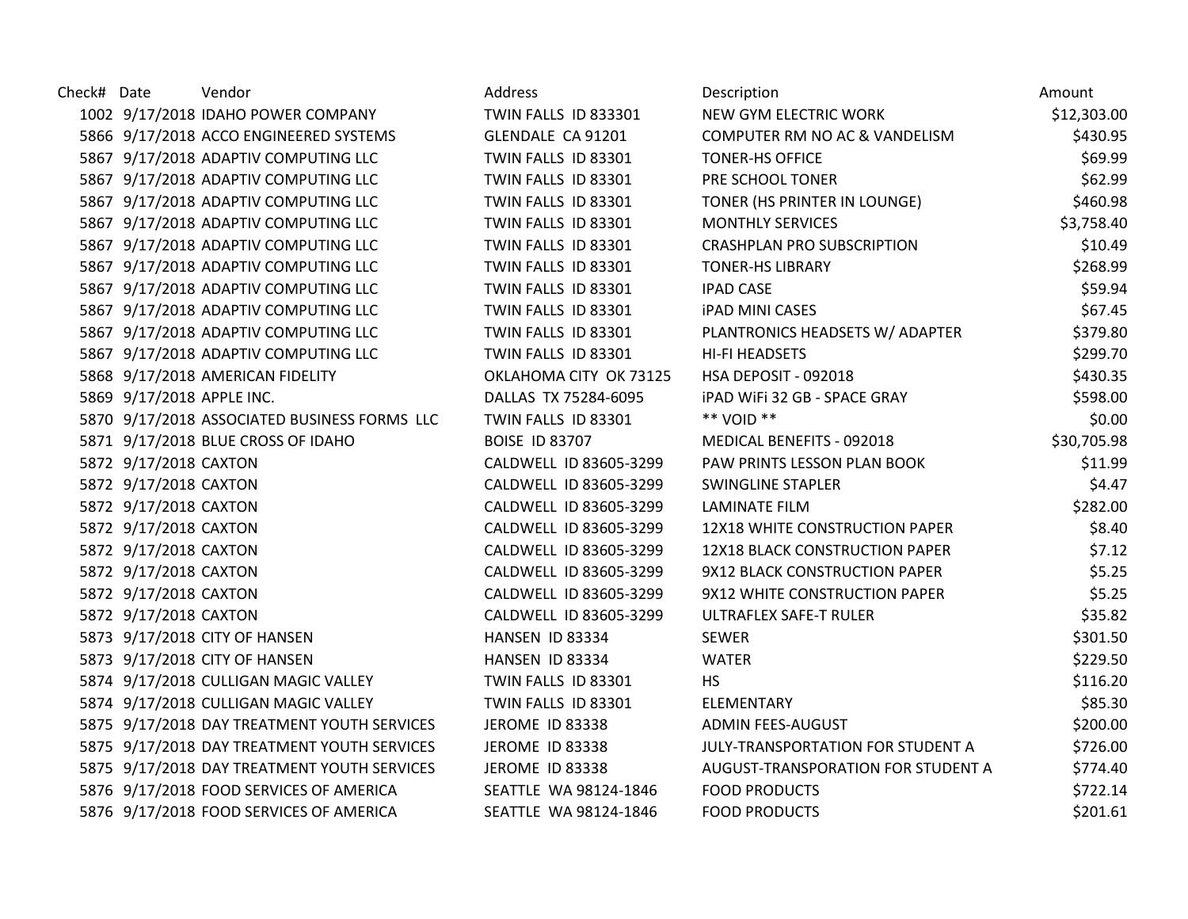| Check# Date |                           | Vendor                                       | Address                | Description                           | Amount      |
|-------------|---------------------------|----------------------------------------------|------------------------|---------------------------------------|-------------|
|             |                           | 1002 9/17/2018 IDAHO POWER COMPANY           | TWIN FALLS ID 833301   | NEW GYM ELECTRIC WORK                 | \$12,303.00 |
|             |                           | 5866 9/17/2018 ACCO ENGINEERED SYSTEMS       | GLENDALE CA 91201      | COMPUTER RM NO AC & VANDELISM         | \$430.95    |
|             |                           | 5867 9/17/2018 ADAPTIV COMPUTING LLC         | TWIN FALLS ID 83301    | <b>TONER-HS OFFICE</b>                | \$69.99     |
|             |                           | 5867 9/17/2018 ADAPTIV COMPUTING LLC         | TWIN FALLS ID 83301    | PRE SCHOOL TONER                      | \$62.99     |
|             |                           | 5867 9/17/2018 ADAPTIV COMPUTING LLC         | TWIN FALLS ID 83301    | TONER (HS PRINTER IN LOUNGE)          | \$460.98    |
|             |                           | 5867 9/17/2018 ADAPTIV COMPUTING LLC         | TWIN FALLS ID 83301    | <b>MONTHLY SERVICES</b>               | \$3,758.40  |
|             |                           | 5867 9/17/2018 ADAPTIV COMPUTING LLC         | TWIN FALLS ID 83301    | <b>CRASHPLAN PRO SUBSCRIPTION</b>     | \$10.49     |
|             |                           | 5867 9/17/2018 ADAPTIV COMPUTING LLC         | TWIN FALLS ID 83301    | <b>TONER-HS LIBRARY</b>               | \$268.99    |
|             |                           | 5867 9/17/2018 ADAPTIV COMPUTING LLC         | TWIN FALLS ID 83301    | <b>IPAD CASE</b>                      | \$59.94     |
|             |                           | 5867 9/17/2018 ADAPTIV COMPUTING LLC         | TWIN FALLS ID 83301    | <b>iPAD MINI CASES</b>                | \$67.45     |
|             |                           | 5867 9/17/2018 ADAPTIV COMPUTING LLC         | TWIN FALLS ID 83301    | PLANTRONICS HEADSETS W/ ADAPTER       | \$379.80    |
|             |                           | 5867 9/17/2018 ADAPTIV COMPUTING LLC         | TWIN FALLS ID 83301    | <b>HI-FI HEADSETS</b>                 | \$299.70    |
|             |                           | 5868 9/17/2018 AMERICAN FIDELITY             | OKLAHOMA CITY OK 73125 | HSA DEPOSIT - 092018                  | \$430.35    |
|             | 5869 9/17/2018 APPLE INC. |                                              | DALLAS TX 75284-6095   | <b>iPAD WiFi 32 GB - SPACE GRAY</b>   | \$598.00    |
|             |                           | 5870 9/17/2018 ASSOCIATED BUSINESS FORMS LLC | TWIN FALLS ID 83301    | ** VOID **                            | \$0.00      |
|             |                           | 5871 9/17/2018 BLUE CROSS OF IDAHO           | <b>BOISE ID 83707</b>  | MEDICAL BENEFITS - 092018             | \$30,705.98 |
|             | 5872 9/17/2018 CAXTON     |                                              | CALDWELL ID 83605-3299 | PAW PRINTS LESSON PLAN BOOK           | \$11.99     |
|             | 5872 9/17/2018 CAXTON     |                                              | CALDWELL ID 83605-3299 | <b>SWINGLINE STAPLER</b>              | \$4.47      |
|             | 5872 9/17/2018 CAXTON     |                                              | CALDWELL ID 83605-3299 | <b>LAMINATE FILM</b>                  | \$282.00    |
|             | 5872 9/17/2018 CAXTON     |                                              | CALDWELL ID 83605-3299 | 12X18 WHITE CONSTRUCTION PAPER        | \$8.40      |
|             | 5872 9/17/2018 CAXTON     |                                              | CALDWELL ID 83605-3299 | <b>12X18 BLACK CONSTRUCTION PAPER</b> | \$7.12      |
|             | 5872 9/17/2018 CAXTON     |                                              | CALDWELL ID 83605-3299 | 9X12 BLACK CONSTRUCTION PAPER         | \$5.25      |
|             | 5872 9/17/2018 CAXTON     |                                              | CALDWELL ID 83605-3299 | 9X12 WHITE CONSTRUCTION PAPER         | \$5.25      |
|             | 5872 9/17/2018 CAXTON     |                                              | CALDWELL ID 83605-3299 | <b>ULTRAFLEX SAFE-T RULER</b>         | \$35.82     |
|             |                           | 5873 9/17/2018 CITY OF HANSEN                | HANSEN ID 83334        | <b>SEWER</b>                          | \$301.50    |
|             |                           | 5873 9/17/2018 CITY OF HANSEN                | HANSEN ID 83334        | <b>WATER</b>                          | \$229.50    |
|             |                           | 5874 9/17/2018 CULLIGAN MAGIC VALLEY         | TWIN FALLS ID 83301    | <b>HS</b>                             | \$116.20    |
|             |                           | 5874 9/17/2018 CULLIGAN MAGIC VALLEY         | TWIN FALLS ID 83301    | ELEMENTARY                            | \$85.30     |
|             |                           | 5875 9/17/2018 DAY TREATMENT YOUTH SERVICES  | JEROME ID 83338        | ADMIN FEES-AUGUST                     | \$200.00    |
|             |                           | 5875 9/17/2018 DAY TREATMENT YOUTH SERVICES  | JEROME ID 83338        | JULY-TRANSPORTATION FOR STUDENT A     | \$726.00    |
|             |                           | 5875 9/17/2018 DAY TREATMENT YOUTH SERVICES  | <b>JEROME ID 83338</b> | AUGUST-TRANSPORATION FOR STUDENT A    | \$774.40    |
|             |                           | 5876 9/17/2018 FOOD SERVICES OF AMERICA      | SEATTLE WA 98124-1846  | <b>FOOD PRODUCTS</b>                  | \$722.14    |
|             |                           | 5876 9/17/2018 FOOD SERVICES OF AMERICA      | SEATTLE WA 98124-1846  | <b>FOOD PRODUCTS</b>                  | \$201.61    |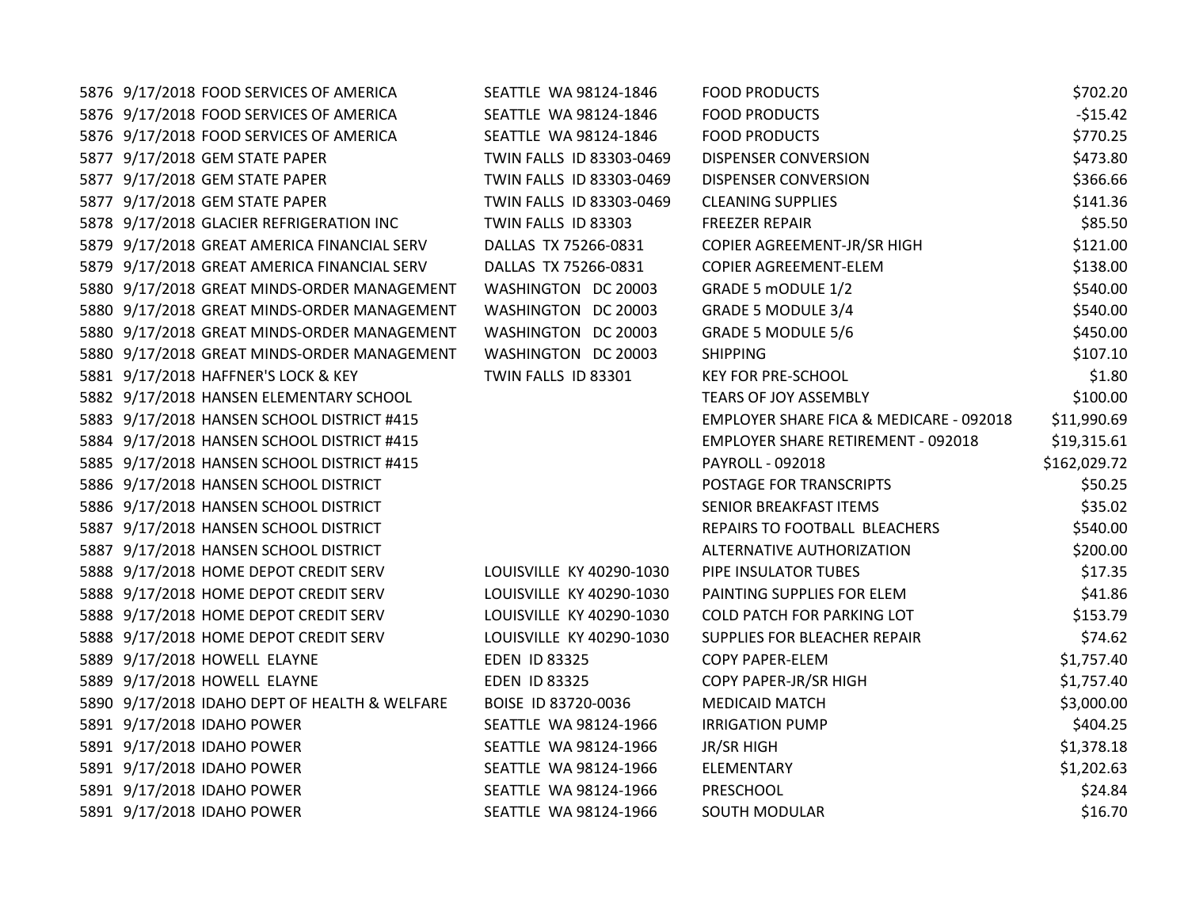| 5876 9/17/2018 FOOD SERVICES OF AMERICA       | SEATTLE WA 98124-1846    | <b>FOOD PRODUCTS</b>                      | \$702.20     |
|-----------------------------------------------|--------------------------|-------------------------------------------|--------------|
| 5876 9/17/2018 FOOD SERVICES OF AMERICA       | SEATTLE WA 98124-1846    | <b>FOOD PRODUCTS</b>                      | $-$15.42$    |
| 5876 9/17/2018 FOOD SERVICES OF AMERICA       | SEATTLE WA 98124-1846    | <b>FOOD PRODUCTS</b>                      | \$770.25     |
| 5877 9/17/2018 GEM STATE PAPER                | TWIN FALLS ID 83303-0469 | <b>DISPENSER CONVERSION</b>               | \$473.80     |
| 5877 9/17/2018 GEM STATE PAPER                | TWIN FALLS ID 83303-0469 | <b>DISPENSER CONVERSION</b>               | \$366.66     |
| 5877 9/17/2018 GEM STATE PAPER                | TWIN FALLS ID 83303-0469 | <b>CLEANING SUPPLIES</b>                  | \$141.36     |
| 5878 9/17/2018 GLACIER REFRIGERATION INC      | TWIN FALLS ID 83303      | <b>FREEZER REPAIR</b>                     | \$85.50      |
| 5879 9/17/2018 GREAT AMERICA FINANCIAL SERV   | DALLAS TX 75266-0831     | COPIER AGREEMENT-JR/SR HIGH               | \$121.00     |
| 5879 9/17/2018 GREAT AMERICA FINANCIAL SERV   | DALLAS TX 75266-0831     | COPIER AGREEMENT-ELEM                     | \$138.00     |
| 5880 9/17/2018 GREAT MINDS-ORDER MANAGEMENT   | WASHINGTON DC 20003      | GRADE 5 mODULE 1/2                        | \$540.00     |
| 5880 9/17/2018 GREAT MINDS-ORDER MANAGEMENT   | WASHINGTON DC 20003      | <b>GRADE 5 MODULE 3/4</b>                 | \$540.00     |
| 5880 9/17/2018 GREAT MINDS-ORDER MANAGEMENT   | WASHINGTON DC 20003      | <b>GRADE 5 MODULE 5/6</b>                 | \$450.00     |
| 5880 9/17/2018 GREAT MINDS-ORDER MANAGEMENT   | WASHINGTON DC 20003      | <b>SHIPPING</b>                           | \$107.10     |
| 5881 9/17/2018 HAFFNER'S LOCK & KEY           | TWIN FALLS ID 83301      | <b>KEY FOR PRE-SCHOOL</b>                 | \$1.80       |
| 5882 9/17/2018 HANSEN ELEMENTARY SCHOOL       |                          | <b>TEARS OF JOY ASSEMBLY</b>              | \$100.00     |
| 5883 9/17/2018 HANSEN SCHOOL DISTRICT #415    |                          | EMPLOYER SHARE FICA & MEDICARE - 092018   | \$11,990.69  |
| 5884 9/17/2018 HANSEN SCHOOL DISTRICT #415    |                          | <b>EMPLOYER SHARE RETIREMENT - 092018</b> | \$19,315.61  |
| 5885 9/17/2018 HANSEN SCHOOL DISTRICT #415    |                          | PAYROLL - 092018                          | \$162,029.72 |
| 5886 9/17/2018 HANSEN SCHOOL DISTRICT         |                          | POSTAGE FOR TRANSCRIPTS                   | \$50.25      |
| 5886 9/17/2018 HANSEN SCHOOL DISTRICT         |                          | SENIOR BREAKFAST ITEMS                    | \$35.02      |
| 5887 9/17/2018 HANSEN SCHOOL DISTRICT         |                          | REPAIRS TO FOOTBALL BLEACHERS             | \$540.00     |
| 5887 9/17/2018 HANSEN SCHOOL DISTRICT         |                          | ALTERNATIVE AUTHORIZATION                 | \$200.00     |
| 5888 9/17/2018 HOME DEPOT CREDIT SERV         | LOUISVILLE KY 40290-1030 | PIPE INSULATOR TUBES                      | \$17.35      |
| 5888 9/17/2018 HOME DEPOT CREDIT SERV         | LOUISVILLE KY 40290-1030 | PAINTING SUPPLIES FOR ELEM                | \$41.86      |
| 5888 9/17/2018 HOME DEPOT CREDIT SERV         | LOUISVILLE KY 40290-1030 | <b>COLD PATCH FOR PARKING LOT</b>         | \$153.79     |
| 5888 9/17/2018 HOME DEPOT CREDIT SERV         | LOUISVILLE KY 40290-1030 | SUPPLIES FOR BLEACHER REPAIR              | \$74.62      |
| 5889 9/17/2018 HOWELL ELAYNE                  | <b>EDEN ID 83325</b>     | <b>COPY PAPER-ELEM</b>                    | \$1,757.40   |
| 5889 9/17/2018 HOWELL ELAYNE                  | <b>EDEN ID 83325</b>     | COPY PAPER-JR/SR HIGH                     | \$1,757.40   |
| 5890 9/17/2018 IDAHO DEPT OF HEALTH & WELFARE | BOISE ID 83720-0036      | <b>MEDICAID MATCH</b>                     | \$3,000.00   |
| 5891 9/17/2018 IDAHO POWER                    | SEATTLE WA 98124-1966    | <b>IRRIGATION PUMP</b>                    | \$404.25     |
| 5891 9/17/2018 IDAHO POWER                    | SEATTLE WA 98124-1966    | JR/SR HIGH                                | \$1,378.18   |
| 5891 9/17/2018 IDAHO POWER                    | SEATTLE WA 98124-1966    | ELEMENTARY                                | \$1,202.63   |
| 5891 9/17/2018 IDAHO POWER                    | SEATTLE WA 98124-1966    | PRESCHOOL                                 | \$24.84      |
| 5891 9/17/2018 IDAHO POWER                    | SEATTLE WA 98124-1966    | <b>SOUTH MODULAR</b>                      | \$16.70      |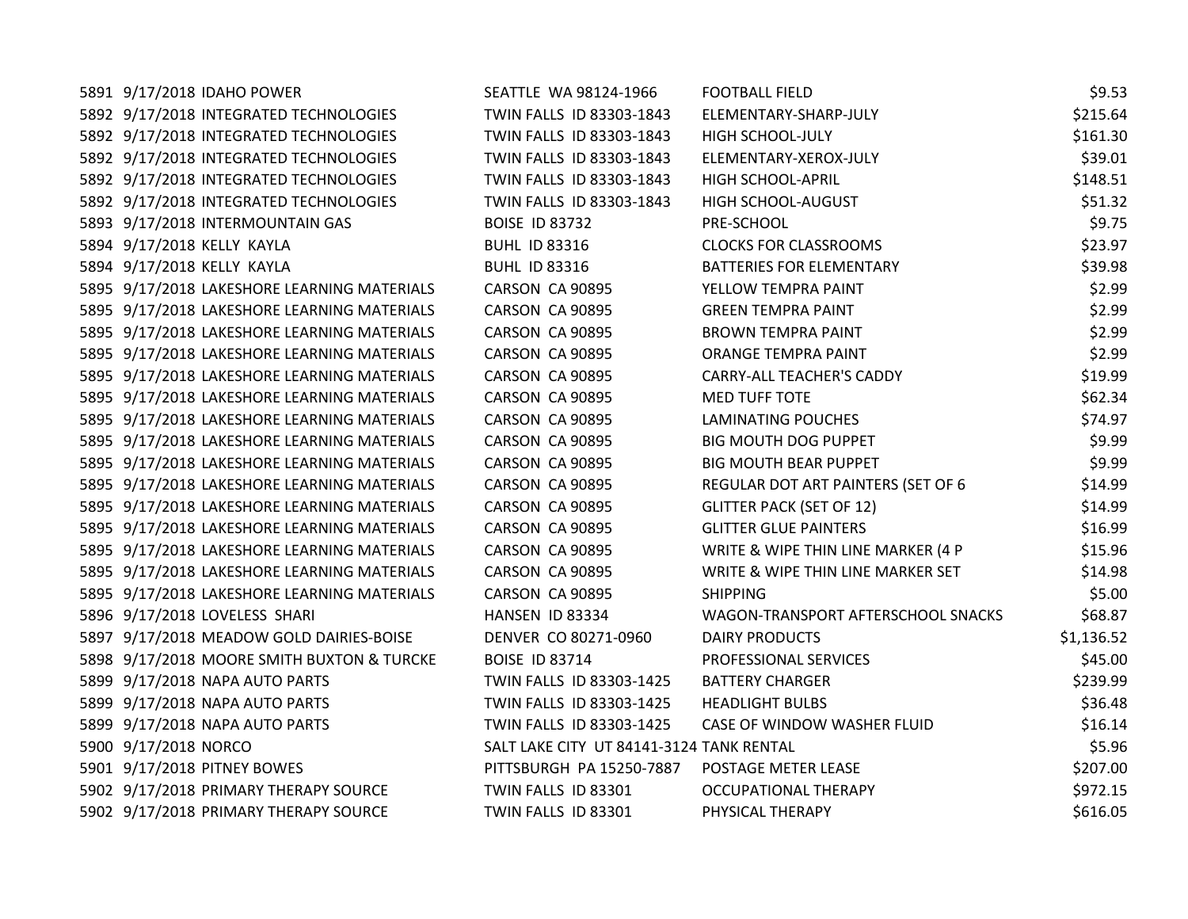| 5891 9/17/2018 IDAHO POWER                  | SEATTLE WA 98124-1966                    | <b>FOOTBALL FIELD</b>              | \$9.53     |
|---------------------------------------------|------------------------------------------|------------------------------------|------------|
| 5892 9/17/2018 INTEGRATED TECHNOLOGIES      | TWIN FALLS ID 83303-1843                 | ELEMENTARY-SHARP-JULY              | \$215.64   |
| 5892 9/17/2018 INTEGRATED TECHNOLOGIES      | TWIN FALLS ID 83303-1843                 | HIGH SCHOOL-JULY                   | \$161.30   |
| 5892 9/17/2018 INTEGRATED TECHNOLOGIES      | TWIN FALLS ID 83303-1843                 | ELEMENTARY-XEROX-JULY              | \$39.01    |
| 5892 9/17/2018 INTEGRATED TECHNOLOGIES      | TWIN FALLS ID 83303-1843                 | <b>HIGH SCHOOL-APRIL</b>           | \$148.51   |
| 5892 9/17/2018 INTEGRATED TECHNOLOGIES      | TWIN FALLS ID 83303-1843                 | HIGH SCHOOL-AUGUST                 | \$51.32    |
| 5893 9/17/2018 INTERMOUNTAIN GAS            | <b>BOISE ID 83732</b>                    | PRE-SCHOOL                         | \$9.75     |
| 5894 9/17/2018 KELLY KAYLA                  | <b>BUHL ID 83316</b>                     | <b>CLOCKS FOR CLASSROOMS</b>       | \$23.97    |
| 5894 9/17/2018 KELLY KAYLA                  | <b>BUHL ID 83316</b>                     | BATTERIES FOR ELEMENTARY           | \$39.98    |
| 5895 9/17/2018 LAKESHORE LEARNING MATERIALS | CARSON CA 90895                          | YELLOW TEMPRA PAINT                | \$2.99     |
| 5895 9/17/2018 LAKESHORE LEARNING MATERIALS | CARSON CA 90895                          | <b>GREEN TEMPRA PAINT</b>          | \$2.99     |
| 5895 9/17/2018 LAKESHORE LEARNING MATERIALS | CARSON CA 90895                          | <b>BROWN TEMPRA PAINT</b>          | \$2.99     |
| 5895 9/17/2018 LAKESHORE LEARNING MATERIALS | CARSON CA 90895                          | ORANGE TEMPRA PAINT                | \$2.99     |
| 5895 9/17/2018 LAKESHORE LEARNING MATERIALS | CARSON CA 90895                          | <b>CARRY-ALL TEACHER'S CADDY</b>   | \$19.99    |
| 5895 9/17/2018 LAKESHORE LEARNING MATERIALS | CARSON CA 90895                          | <b>MED TUFF TOTE</b>               | \$62.34    |
| 5895 9/17/2018 LAKESHORE LEARNING MATERIALS | CARSON CA 90895                          | LAMINATING POUCHES                 | \$74.97    |
| 5895 9/17/2018 LAKESHORE LEARNING MATERIALS | CARSON CA 90895                          | BIG MOUTH DOG PUPPET               | \$9.99     |
| 5895 9/17/2018 LAKESHORE LEARNING MATERIALS | CARSON CA 90895                          | <b>BIG MOUTH BEAR PUPPET</b>       | \$9.99     |
| 5895 9/17/2018 LAKESHORE LEARNING MATERIALS | CARSON CA 90895                          | REGULAR DOT ART PAINTERS (SET OF 6 | \$14.99    |
| 5895 9/17/2018 LAKESHORE LEARNING MATERIALS | CARSON CA 90895                          | <b>GLITTER PACK (SET OF 12)</b>    | \$14.99    |
| 5895 9/17/2018 LAKESHORE LEARNING MATERIALS | CARSON CA 90895                          | <b>GLITTER GLUE PAINTERS</b>       | \$16.99    |
| 5895 9/17/2018 LAKESHORE LEARNING MATERIALS | CARSON CA 90895                          | WRITE & WIPE THIN LINE MARKER (4 P | \$15.96    |
| 5895 9/17/2018 LAKESHORE LEARNING MATERIALS | CARSON CA 90895                          | WRITE & WIPE THIN LINE MARKER SET  | \$14.98    |
| 5895 9/17/2018 LAKESHORE LEARNING MATERIALS | CARSON CA 90895                          | <b>SHIPPING</b>                    | \$5.00     |
| 5896 9/17/2018 LOVELESS SHARI               | HANSEN ID 83334                          | WAGON-TRANSPORT AFTERSCHOOL SNACKS | \$68.87    |
| 5897 9/17/2018 MEADOW GOLD DAIRIES-BOISE    | DENVER CO 80271-0960                     | <b>DAIRY PRODUCTS</b>              | \$1,136.52 |
| 5898 9/17/2018 MOORE SMITH BUXTON & TURCKE  | <b>BOISE ID 83714</b>                    | PROFESSIONAL SERVICES              | \$45.00    |
| 5899 9/17/2018 NAPA AUTO PARTS              | TWIN FALLS ID 83303-1425                 | <b>BATTERY CHARGER</b>             | \$239.99   |
| 5899 9/17/2018 NAPA AUTO PARTS              | TWIN FALLS ID 83303-1425                 | <b>HEADLIGHT BULBS</b>             | \$36.48    |
| 5899 9/17/2018 NAPA AUTO PARTS              | TWIN FALLS ID 83303-1425                 | CASE OF WINDOW WASHER FLUID        | \$16.14    |
| 5900 9/17/2018 NORCO                        | SALT LAKE CITY UT 84141-3124 TANK RENTAL |                                    | \$5.96     |
| 5901 9/17/2018 PITNEY BOWES                 | PITTSBURGH PA 15250-7887                 | POSTAGE METER LEASE                | \$207.00   |
| 5902 9/17/2018 PRIMARY THERAPY SOURCE       | TWIN FALLS ID 83301                      | <b>OCCUPATIONAL THERAPY</b>        | \$972.15   |
| 5902 9/17/2018 PRIMARY THERAPY SOURCE       | TWIN FALLS ID 83301                      | PHYSICAL THERAPY                   | \$616.05   |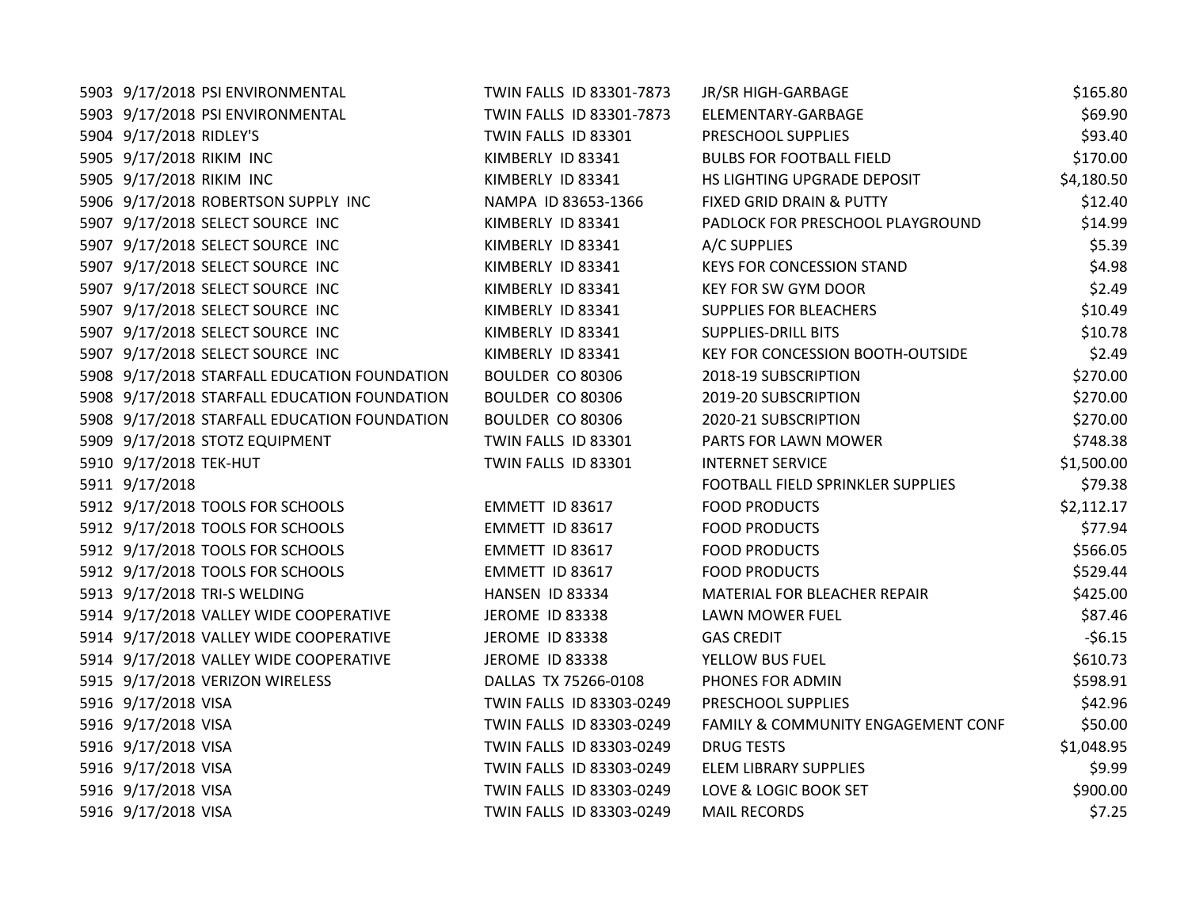| 5903 9/17/2018 PSI ENVIRONMENTAL             | TWIN FALLS ID 83301-7873 | JR/SR HIGH-GARBAGE                 | \$165.80   |
|----------------------------------------------|--------------------------|------------------------------------|------------|
| 5903 9/17/2018 PSI ENVIRONMENTAL             | TWIN FALLS ID 83301-7873 | ELEMENTARY-GARBAGE                 | \$69.90    |
| 5904 9/17/2018 RIDLEY'S                      | TWIN FALLS ID 83301      | PRESCHOOL SUPPLIES                 | \$93.40    |
| 5905 9/17/2018 RIKIM INC                     | KIMBERLY ID 83341        | <b>BULBS FOR FOOTBALL FIELD</b>    | \$170.00   |
| 5905 9/17/2018 RIKIM INC                     | KIMBERLY ID 83341        | HS LIGHTING UPGRADE DEPOSIT        | \$4,180.50 |
| 5906 9/17/2018 ROBERTSON SUPPLY INC          | NAMPA ID 83653-1366      | FIXED GRID DRAIN & PUTTY           | \$12.40    |
| 5907 9/17/2018 SELECT SOURCE INC             | KIMBERLY ID 83341        | PADLOCK FOR PRESCHOOL PLAYGROUND   | \$14.99    |
| 5907 9/17/2018 SELECT SOURCE INC             | KIMBERLY ID 83341        | A/C SUPPLIES                       | \$5.39     |
| 5907 9/17/2018 SELECT SOURCE INC             | KIMBERLY ID 83341        | <b>KEYS FOR CONCESSION STAND</b>   | \$4.98     |
| 5907 9/17/2018 SELECT SOURCE INC             | KIMBERLY ID 83341        | KEY FOR SW GYM DOOR                | \$2.49     |
| 5907 9/17/2018 SELECT SOURCE INC             | KIMBERLY ID 83341        | <b>SUPPLIES FOR BLEACHERS</b>      | \$10.49    |
| 5907 9/17/2018 SELECT SOURCE INC             | KIMBERLY ID 83341        | <b>SUPPLIES-DRILL BITS</b>         | \$10.78    |
| 5907 9/17/2018 SELECT SOURCE INC             | KIMBERLY ID 83341        | KEY FOR CONCESSION BOOTH-OUTSIDE   | \$2.49     |
| 5908 9/17/2018 STARFALL EDUCATION FOUNDATION | BOULDER CO 80306         | 2018-19 SUBSCRIPTION               | \$270.00   |
| 5908 9/17/2018 STARFALL EDUCATION FOUNDATION | BOULDER CO 80306         | 2019-20 SUBSCRIPTION               | \$270.00   |
| 5908 9/17/2018 STARFALL EDUCATION FOUNDATION | BOULDER CO 80306         | 2020-21 SUBSCRIPTION               | \$270.00   |
| 5909 9/17/2018 STOTZ EQUIPMENT               | TWIN FALLS ID 83301      | PARTS FOR LAWN MOWER               | \$748.38   |
| 5910 9/17/2018 TEK-HUT                       | TWIN FALLS ID 83301      | <b>INTERNET SERVICE</b>            | \$1,500.00 |
| 5911 9/17/2018                               |                          | FOOTBALL FIELD SPRINKLER SUPPLIES  | \$79.38    |
| 5912 9/17/2018 TOOLS FOR SCHOOLS             | EMMETT ID 83617          | <b>FOOD PRODUCTS</b>               | \$2,112.17 |
| 5912 9/17/2018 TOOLS FOR SCHOOLS             | EMMETT ID 83617          | <b>FOOD PRODUCTS</b>               | \$77.94    |
| 5912 9/17/2018 TOOLS FOR SCHOOLS             | EMMETT ID 83617          | <b>FOOD PRODUCTS</b>               | \$566.05   |
| 5912 9/17/2018 TOOLS FOR SCHOOLS             | EMMETT ID 83617          | <b>FOOD PRODUCTS</b>               | \$529.44   |
| 5913 9/17/2018 TRI-S WELDING                 | HANSEN ID 83334          | MATERIAL FOR BLEACHER REPAIR       | \$425.00   |
| 5914 9/17/2018 VALLEY WIDE COOPERATIVE       | JEROME ID 83338          | LAWN MOWER FUEL                    | \$87.46    |
| 5914 9/17/2018 VALLEY WIDE COOPERATIVE       | JEROME ID 83338          | <b>GAS CREDIT</b>                  | $-56.15$   |
| 5914 9/17/2018 VALLEY WIDE COOPERATIVE       | JEROME ID 83338          | YELLOW BUS FUEL                    | \$610.73   |
| 5915 9/17/2018 VERIZON WIRELESS              | DALLAS TX 75266-0108     | PHONES FOR ADMIN                   | \$598.91   |
| 5916 9/17/2018 VISA                          | TWIN FALLS ID 83303-0249 | PRESCHOOL SUPPLIES                 | \$42.96    |
| 5916 9/17/2018 VISA                          | TWIN FALLS ID 83303-0249 | FAMILY & COMMUNITY ENGAGEMENT CONF | \$50.00    |
| 5916 9/17/2018 VISA                          | TWIN FALLS ID 83303-0249 | <b>DRUG TESTS</b>                  | \$1,048.95 |
| 5916 9/17/2018 VISA                          | TWIN FALLS ID 83303-0249 | <b>ELEM LIBRARY SUPPLIES</b>       | \$9.99     |
| 5916 9/17/2018 VISA                          | TWIN FALLS ID 83303-0249 | LOVE & LOGIC BOOK SET              | \$900.00   |
| 5916 9/17/2018 VISA                          | TWIN FALLS ID 83303-0249 | <b>MAIL RECORDS</b>                | \$7.25     |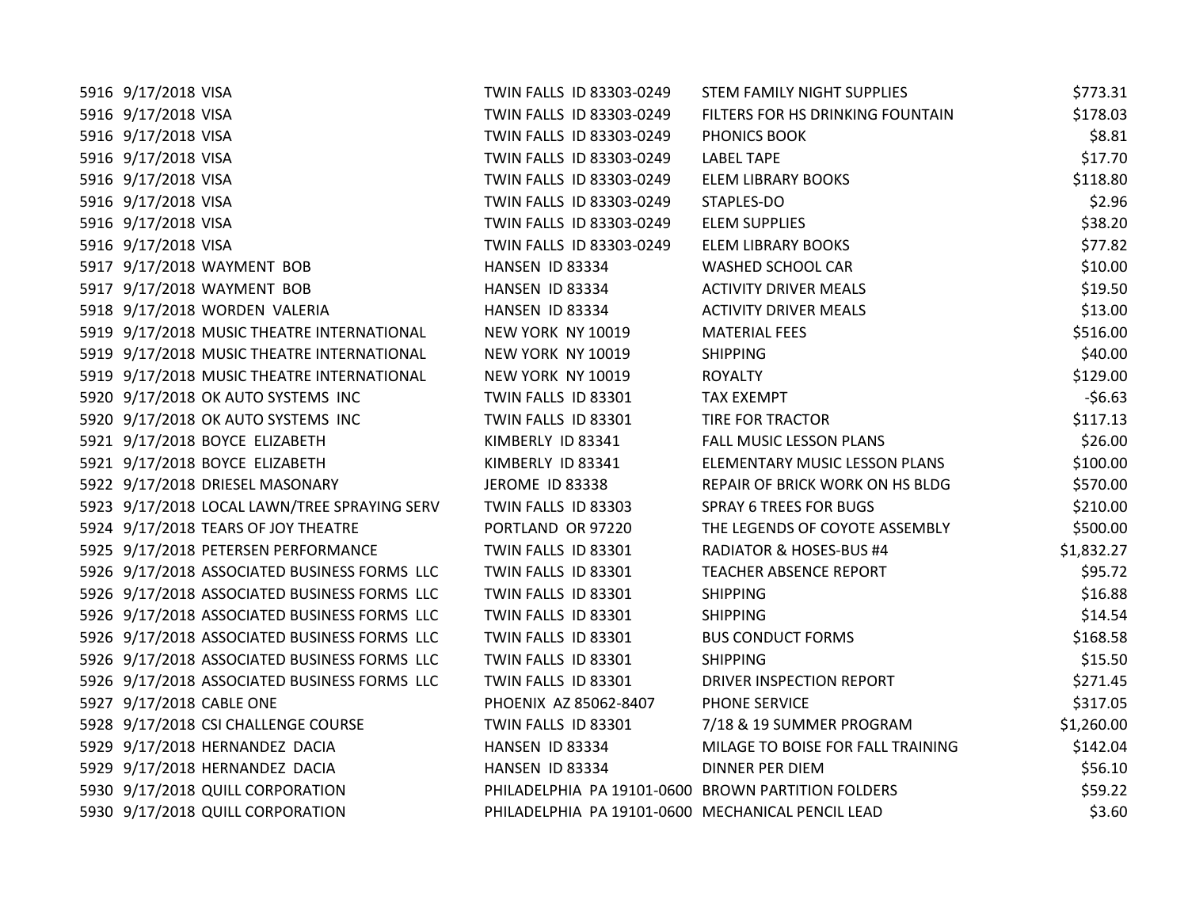| 5916 9/17/2018 VISA                          | TWIN FALLS ID 83303-0249                           | STEM FAMILY NIGHT SUPPLIES         | \$773.31   |
|----------------------------------------------|----------------------------------------------------|------------------------------------|------------|
| 5916 9/17/2018 VISA                          | TWIN FALLS ID 83303-0249                           | FILTERS FOR HS DRINKING FOUNTAIN   | \$178.03   |
| 5916 9/17/2018 VISA                          | TWIN FALLS ID 83303-0249                           | PHONICS BOOK                       | \$8.81     |
| 5916 9/17/2018 VISA                          | TWIN FALLS ID 83303-0249                           | <b>LABEL TAPE</b>                  | \$17.70    |
| 5916 9/17/2018 VISA                          | TWIN FALLS ID 83303-0249                           | <b>ELEM LIBRARY BOOKS</b>          | \$118.80   |
| 5916 9/17/2018 VISA                          | TWIN FALLS ID 83303-0249                           | STAPLES-DO                         | \$2.96     |
| 5916 9/17/2018 VISA                          | TWIN FALLS ID 83303-0249                           | <b>ELEM SUPPLIES</b>               | \$38.20    |
| 5916 9/17/2018 VISA                          | TWIN FALLS ID 83303-0249                           | <b>ELEM LIBRARY BOOKS</b>          | \$77.82    |
| 5917 9/17/2018 WAYMENT BOB                   | HANSEN ID 83334                                    | WASHED SCHOOL CAR                  | \$10.00    |
| 5917 9/17/2018 WAYMENT BOB                   | HANSEN ID 83334                                    | <b>ACTIVITY DRIVER MEALS</b>       | \$19.50    |
| 5918 9/17/2018 WORDEN VALERIA                | HANSEN ID 83334                                    | <b>ACTIVITY DRIVER MEALS</b>       | \$13.00    |
| 5919 9/17/2018 MUSIC THEATRE INTERNATIONAL   | NEW YORK NY 10019                                  | <b>MATERIAL FEES</b>               | \$516.00   |
| 5919 9/17/2018 MUSIC THEATRE INTERNATIONAL   | NEW YORK NY 10019                                  | <b>SHIPPING</b>                    | \$40.00    |
| 5919 9/17/2018 MUSIC THEATRE INTERNATIONAL   | NEW YORK NY 10019                                  | <b>ROYALTY</b>                     | \$129.00   |
| 5920 9/17/2018 OK AUTO SYSTEMS INC           | TWIN FALLS ID 83301                                | <b>TAX EXEMPT</b>                  | $-56.63$   |
| 5920 9/17/2018 OK AUTO SYSTEMS INC           | TWIN FALLS ID 83301                                | TIRE FOR TRACTOR                   | \$117.13   |
| 5921 9/17/2018 BOYCE ELIZABETH               | KIMBERLY ID 83341                                  | FALL MUSIC LESSON PLANS            | \$26.00    |
| 5921 9/17/2018 BOYCE ELIZABETH               | KIMBERLY ID 83341                                  | ELEMENTARY MUSIC LESSON PLANS      | \$100.00   |
| 5922 9/17/2018 DRIESEL MASONARY              | <b>JEROME ID 83338</b>                             | REPAIR OF BRICK WORK ON HS BLDG    | \$570.00   |
| 5923 9/17/2018 LOCAL LAWN/TREE SPRAYING SERV | TWIN FALLS ID 83303                                | <b>SPRAY 6 TREES FOR BUGS</b>      | \$210.00   |
| 5924 9/17/2018 TEARS OF JOY THEATRE          | PORTLAND OR 97220                                  | THE LEGENDS OF COYOTE ASSEMBLY     | \$500.00   |
| 5925 9/17/2018 PETERSEN PERFORMANCE          | TWIN FALLS ID 83301                                | <b>RADIATOR &amp; HOSES-BUS #4</b> | \$1,832.27 |
| 5926 9/17/2018 ASSOCIATED BUSINESS FORMS LLC | TWIN FALLS ID 83301                                | <b>TEACHER ABSENCE REPORT</b>      | \$95.72    |
| 5926 9/17/2018 ASSOCIATED BUSINESS FORMS LLC | TWIN FALLS ID 83301                                | <b>SHIPPING</b>                    | \$16.88    |
| 5926 9/17/2018 ASSOCIATED BUSINESS FORMS LLC | TWIN FALLS ID 83301                                | <b>SHIPPING</b>                    | \$14.54    |
| 5926 9/17/2018 ASSOCIATED BUSINESS FORMS LLC | TWIN FALLS ID 83301                                | <b>BUS CONDUCT FORMS</b>           | \$168.58   |
| 5926 9/17/2018 ASSOCIATED BUSINESS FORMS LLC | TWIN FALLS ID 83301                                | <b>SHIPPING</b>                    | \$15.50    |
| 5926 9/17/2018 ASSOCIATED BUSINESS FORMS LLC | TWIN FALLS ID 83301                                | DRIVER INSPECTION REPORT           | \$271.45   |
| 5927 9/17/2018 CABLE ONE                     | PHOENIX AZ 85062-8407                              | PHONE SERVICE                      | \$317.05   |
| 5928 9/17/2018 CSI CHALLENGE COURSE          | TWIN FALLS ID 83301                                | 7/18 & 19 SUMMER PROGRAM           | \$1,260.00 |
| 5929 9/17/2018 HERNANDEZ DACIA               | HANSEN ID 83334                                    | MILAGE TO BOISE FOR FALL TRAINING  | \$142.04   |
| 5929 9/17/2018 HERNANDEZ DACIA               | HANSEN ID 83334                                    | <b>DINNER PER DIEM</b>             | \$56.10    |
| 5930 9/17/2018 QUILL CORPORATION             | PHILADELPHIA PA 19101-0600 BROWN PARTITION FOLDERS |                                    | \$59.22    |
| 5930 9/17/2018 QUILL CORPORATION             | PHILADELPHIA PA 19101-0600 MECHANICAL PENCIL LEAD  |                                    | \$3.60     |